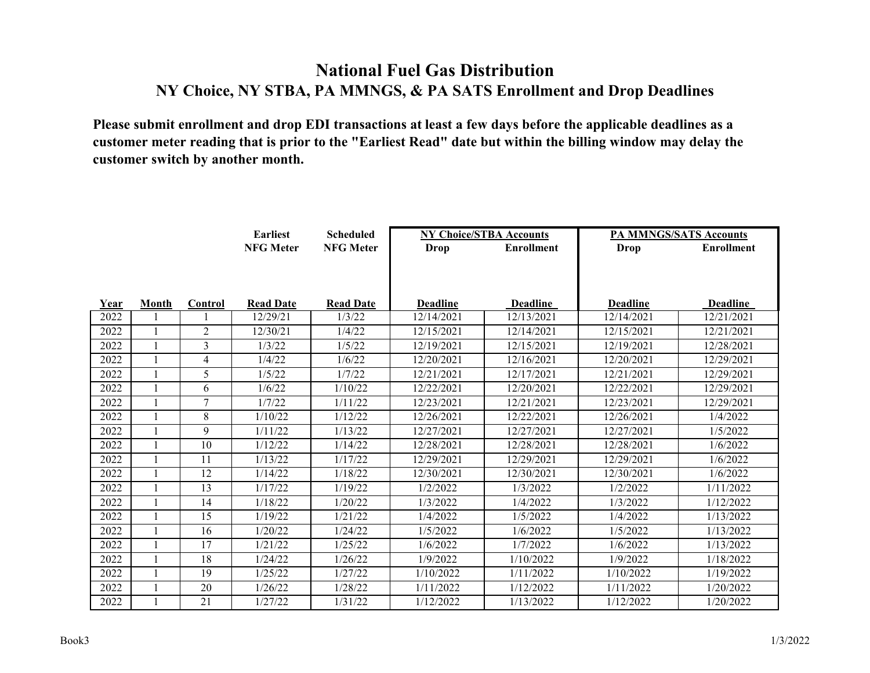|      |              |                | <b>Earliest</b>  | <b>Scheduled</b> | <b>NY Choice/STBA Accounts</b> |                   | <b>PA MMNGS/SATS Accounts</b> |                   |
|------|--------------|----------------|------------------|------------------|--------------------------------|-------------------|-------------------------------|-------------------|
|      |              |                | <b>NFG Meter</b> | <b>NFG Meter</b> | Drop                           | <b>Enrollment</b> | Drop                          | <b>Enrollment</b> |
|      |              |                |                  |                  |                                |                   |                               |                   |
|      |              |                |                  |                  |                                |                   |                               |                   |
|      |              |                |                  |                  |                                |                   |                               |                   |
| Year | Month        | Control        | <b>Read Date</b> | <b>Read Date</b> | <b>Deadline</b>                | <b>Deadline</b>   | <b>Deadline</b>               | <b>Deadline</b>   |
| 2022 |              |                | 12/29/21         | 1/3/22           | 12/14/2021                     | 12/13/2021        | 12/14/2021                    | 12/21/2021        |
| 2022 |              | $\overline{2}$ | 12/30/21         | 1/4/22           | 12/15/2021                     | 12/14/2021        | 12/15/2021                    | 12/21/2021        |
| 2022 |              | 3              | 1/3/22           | 1/5/22           | 12/19/2021                     | 12/15/2021        | 12/19/2021                    | 12/28/2021        |
| 2022 | $\mathbf{1}$ | $\overline{4}$ | 1/4/22           | 1/6/22           | 12/20/2021                     | 12/16/2021        | 12/20/2021                    | 12/29/2021        |
| 2022 |              | 5              | 1/5/22           | 1/7/22           | 12/21/2021                     | 12/17/2021        | 12/21/2021                    | 12/29/2021        |
| 2022 |              | 6              | 1/6/22           | 1/10/22          | 12/22/2021                     | 12/20/2021        | 12/22/2021                    | 12/29/2021        |
| 2022 |              | 7              | 1/7/22           | 1/11/22          | 12/23/2021                     | 12/21/2021        | 12/23/2021                    | 12/29/2021        |
| 2022 |              | 8              | 1/10/22          | 1/12/22          | 12/26/2021                     | 12/22/2021        | 12/26/2021                    | 1/4/2022          |
| 2022 | $\mathbf{1}$ | 9              | 1/11/22          | 1/13/22          | 12/27/2021                     | 12/27/2021        | 12/27/2021                    | 1/5/2022          |
| 2022 |              | 10             | 1/12/22          | 1/14/22          | 12/28/2021                     | 12/28/2021        | 12/28/2021                    | 1/6/2022          |
| 2022 |              | 11             | 1/13/22          | 1/17/22          | 12/29/2021                     | 12/29/2021        | 12/29/2021                    | 1/6/2022          |
| 2022 |              | 12             | 1/14/22          | 1/18/22          | 12/30/2021                     | 12/30/2021        | 12/30/2021                    | 1/6/2022          |
| 2022 | $\mathbf{1}$ | 13             | 1/17/22          | 1/19/22          | $\frac{1}{2}$ /2022            | 1/3/2022          | 1/2/2022                      | 1/11/2022         |
| 2022 |              | 14             | 1/18/22          | 1/20/22          | 1/3/2022                       | 1/4/2022          | 1/3/2022                      | 1/12/2022         |
| 2022 |              | 15             | 1/19/22          | 1/21/22          | 1/4/2022                       | 1/5/2022          | 1/4/2022                      | 1/13/2022         |
| 2022 |              | 16             | 1/20/22          | 1/24/22          | 1/5/2022                       | 1/6/2022          | 1/5/2022                      | 1/13/2022         |
| 2022 |              | 17             | 1/21/22          | 1/25/22          | 1/6/2022                       | 1/7/2022          | 1/6/2022                      | 1/13/2022         |
| 2022 | $\mathbf{1}$ | 18             | 1/24/22          | 1/26/22          | 1/9/2022                       | 1/10/2022         | 1/9/2022                      | 1/18/2022         |
| 2022 |              | 19             | 1/25/22          | 1/27/22          | 1/10/2022                      | 1/11/2022         | 1/10/2022                     | 1/19/2022         |
| 2022 |              | 20             | 1/26/22          | 1/28/22          | 1/11/2022                      | 1/12/2022         | 1/11/2022                     | 1/20/2022         |
| 2022 |              | 21             | 1/27/22          | 1/31/22          | 1/12/2022                      | 1/13/2022         | 1/12/2022                     | 1/20/2022         |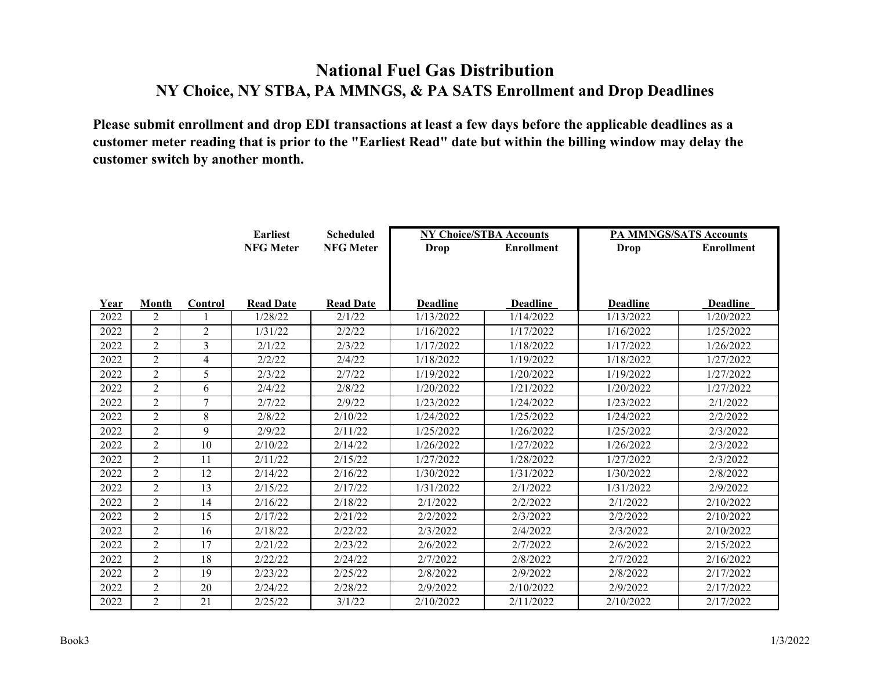|      |                |                | <b>Earliest</b>  | <b>Scheduled</b> | <b>NY Choice/STBA Accounts</b> |                   |                 | <b>PA MMNGS/SATS Accounts</b> |
|------|----------------|----------------|------------------|------------------|--------------------------------|-------------------|-----------------|-------------------------------|
|      |                |                | <b>NFG Meter</b> | <b>NFG Meter</b> | <b>Drop</b>                    | <b>Enrollment</b> | <b>Drop</b>     | <b>Enrollment</b>             |
|      |                |                |                  |                  |                                |                   |                 |                               |
|      |                |                |                  |                  |                                |                   |                 |                               |
|      |                |                |                  |                  |                                |                   |                 |                               |
| Year | Month          | <b>Control</b> | <b>Read Date</b> | <b>Read Date</b> | <b>Deadline</b>                | <b>Deadline</b>   | <b>Deadline</b> | Deadline                      |
| 2022 | 2              |                | 1/28/22          | 2/1/22           | 1/13/2022                      | 1/14/2022         | 1/13/2022       | 1/20/2022                     |
| 2022 | $\overline{2}$ | $\overline{2}$ | 1/31/22          | 2/2/22           | 1/16/2022                      | 1/17/2022         | 1/16/2022       | 1/25/2022                     |
| 2022 | $\overline{2}$ | 3              | 2/1/22           | 2/3/22           | 1/17/2022                      | 1/18/2022         | 1/17/2022       | 1/26/2022                     |
| 2022 | $\overline{2}$ | $\overline{4}$ | 2/2/22           | 2/4/22           | 1/18/2022                      | 1/19/2022         | 1/18/2022       | 1/27/2022                     |
| 2022 | $\overline{2}$ | 5              | 2/3/22           | 2/7/22           | 1/19/2022                      | 1/20/2022         | 1/19/2022       | 1/27/2022                     |
| 2022 | 2              | 6              | 2/4/22           | 2/8/22           | 1/20/2022                      | 1/21/2022         | 1/20/2022       | 1/27/2022                     |
| 2022 | 2              | 7              | 2/7/22           | 2/9/22           | 1/23/2022                      | 1/24/2022         | 1/23/2022       | 2/1/2022                      |
| 2022 | $\overline{2}$ | 8              | 2/8/22           | 2/10/22          | 1/24/2022                      | 1/25/2022         | 1/24/2022       | 2/2/2022                      |
| 2022 | $\overline{2}$ | 9              | 2/9/22           | 2/11/22          | 1/25/2022                      | 1/26/2022         | 1/25/2022       | 2/3/2022                      |
| 2022 | 2              | 10             | 2/10/22          | 2/14/22          | 1/26/2022                      | 1/27/2022         | 1/26/2022       | 2/3/2022                      |
| 2022 | $\overline{2}$ | 11             | 2/11/22          | 2/15/22          | 1/27/2022                      | 1/28/2022         | 1/27/2022       | 2/3/2022                      |
| 2022 | $\overline{2}$ | 12             | 2/14/22          | 2/16/22          | 1/30/2022                      | 1/31/2022         | 1/30/2022       | 2/8/2022                      |
| 2022 | $\overline{2}$ | 13             | 2/15/22          | 2/17/22          | 1/31/2022                      | 2/1/2022          | 1/31/2022       | 2/9/2022                      |
| 2022 | $\overline{2}$ | 14             | 2/16/22          | 2/18/22          | 2/1/2022                       | 2/2/2022          | 2/1/2022        | 2/10/2022                     |
| 2022 | 2              | 15             | 2/17/22          | 2/21/22          | 2/2/2022                       | 2/3/2022          | 2/2/2022        | 2/10/2022                     |
| 2022 | $\overline{2}$ | 16             | 2/18/22          | 2/22/22          | 2/3/2022                       | 2/4/2022          | 2/3/2022        | 2/10/2022                     |
| 2022 | $\overline{2}$ | 17             | 2/21/22          | 2/23/22          | 2/6/2022                       | 2/7/2022          | 2/6/2022        | 2/15/2022                     |
| 2022 | 2              | 18             | 2/22/22          | 2/24/22          | 2/7/2022                       | 2/8/2022          | 2/7/2022        | 2/16/2022                     |
| 2022 | 2              | 19             | 2/23/22          | 2/25/22          | 2/8/2022                       | 2/9/2022          | 2/8/2022        | 2/17/2022                     |
| 2022 | $\overline{2}$ | 20             | 2/24/22          | 2/28/22          | 2/9/2022                       | 2/10/2022         | 2/9/2022        | 2/17/2022                     |
| 2022 | $\overline{2}$ | 21             | 2/25/22          | 3/1/22           | 2/10/2022                      | 2/11/2022         | 2/10/2022       | 2/17/2022                     |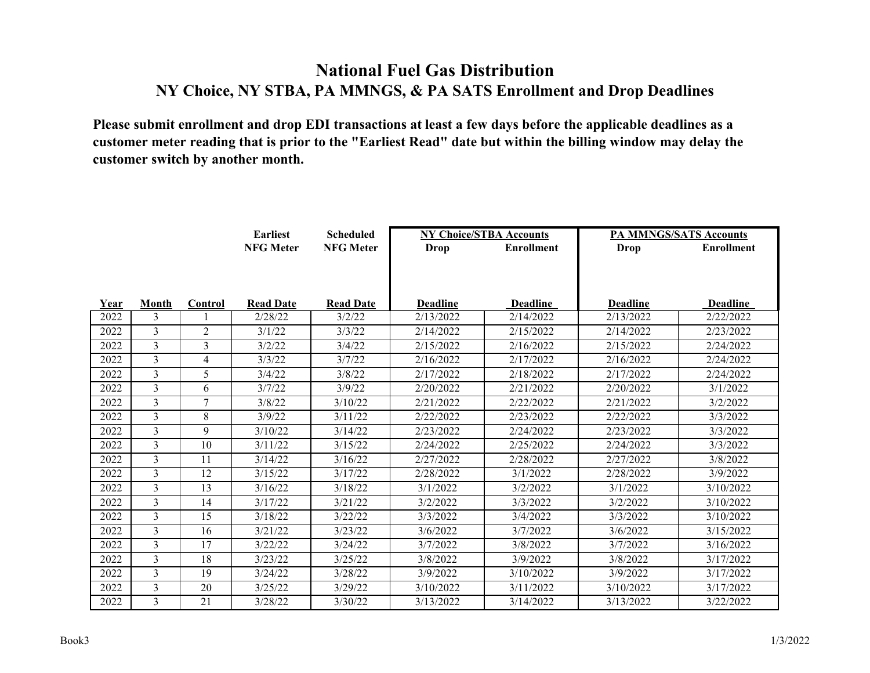|             |                |                | <b>Earliest</b>  | <b>Scheduled</b> | <b>NY Choice/STBA Accounts</b> |                   | <b>PA MMNGS/SATS Accounts</b> |                   |
|-------------|----------------|----------------|------------------|------------------|--------------------------------|-------------------|-------------------------------|-------------------|
|             |                |                | <b>NFG Meter</b> | <b>NFG Meter</b> | Drop                           | <b>Enrollment</b> | Drop                          | <b>Enrollment</b> |
|             |                |                |                  |                  |                                |                   |                               |                   |
|             |                |                |                  |                  |                                |                   |                               |                   |
|             |                |                |                  |                  |                                |                   |                               |                   |
| <u>Year</u> | Month          | <b>Control</b> | <b>Read Date</b> | <b>Read Date</b> | <b>Deadline</b>                | <b>Deadline</b>   | <b>Deadline</b>               | <b>Deadline</b>   |
| 2022        | 3              |                | 2/28/22          | 3/2/22           | 2/13/2022                      | 2/14/2022         | 2/13/2022                     | 2/22/2022         |
| 2022        | 3              | $\overline{2}$ | 3/1/22           | 3/3/22           | 2/14/2022                      | 2/15/2022         | 2/14/2022                     | 2/23/2022         |
| 2022        | $\overline{3}$ | 3              | 3/2/22           | 3/4/22           | 2/15/2022                      | 2/16/2022         | 2/15/2022                     | 2/24/2022         |
| 2022        | $\overline{3}$ | 4              | 3/3/22           | 3/7/22           | 2/16/2022                      | 2/17/2022         | $\overline{2}/16/2022$        | 2/24/2022         |
| 2022        | 3              | 5              | 3/4/22           | 3/8/22           | 2/17/2022                      | 2/18/2022         | 2/17/2022                     | 2/24/2022         |
| 2022        | 3              | 6              | 3/7/22           | 3/9/22           | 2/20/2022                      | 2/21/2022         | 2/20/2022                     | 3/1/2022          |
| 2022        | 3              | 7              | 3/8/22           | 3/10/22          | 2/21/2022                      | 2/22/2022         | 2/21/2022                     | 3/2/2022          |
| 2022        | $\overline{3}$ | 8              | 3/9/22           | 3/11/22          | 2/22/2022                      | 2/23/2022         | 2/22/2022                     | 3/3/2022          |
| 2022        | $\overline{3}$ | 9              | 3/10/22          | 3/14/22          | 2/23/2022                      | 2/24/2022         | 2/23/2022                     | 3/3/2022          |
| 2022        | 3              | 10             | 3/11/22          | 3/15/22          | 2/24/2022                      | 2/25/2022         | 2/24/2022                     | 3/3/2022          |
| 2022        | 3              | 11             | 3/14/22          | 3/16/22          | 2/27/2022                      | 2/28/2022         | 2/27/2022                     | 3/8/2022          |
| 2022        | 3              | 12             | 3/15/22          | 3/17/22          | 2/28/2022                      | 3/1/2022          | 2/28/2022                     | 3/9/2022          |
| 2022        | $\overline{3}$ | 13             | 3/16/22          | 3/18/22          | 3/1/2022                       | 3/2/2022          | 3/1/2022                      | 3/10/2022         |
| 2022        | $\overline{3}$ | 14             | 3/17/22          | 3/21/22          | 3/2/2022                       | 3/3/2022          | 3/2/2022                      | 3/10/2022         |
| 2022        | 3              | 15             | 3/18/22          | 3/22/22          | 3/3/2022                       | 3/4/2022          | 3/3/2022                      | 3/10/2022         |
| 2022        | 3              | 16             | 3/21/22          | 3/23/22          | 3/6/2022                       | 3/7/2022          | 3/6/2022                      | 3/15/2022         |
| 2022        | $\overline{3}$ | 17             | 3/22/22          | 3/24/22          | 3/7/2022                       | 3/8/2022          | 3/7/2022                      | 3/16/2022         |
| 2022        | $\overline{3}$ | 18             | 3/23/22          | 3/25/22          | 3/8/2022                       | 3/9/2022          | 3/8/2022                      | 3/17/2022         |
| 2022        | 3              | 19             | 3/24/22          | 3/28/22          | 3/9/2022                       | 3/10/2022         | 3/9/2022                      | 3/17/2022         |
| 2022        | 3              | 20             | 3/25/22          | 3/29/22          | 3/10/2022                      | 3/11/2022         | 3/10/2022                     | 3/17/2022         |
| 2022        | $\mathcal{E}$  | 21             | 3/28/22          | 3/30/22          | 3/13/2022                      | 3/14/2022         | 3/13/2022                     | 3/22/2022         |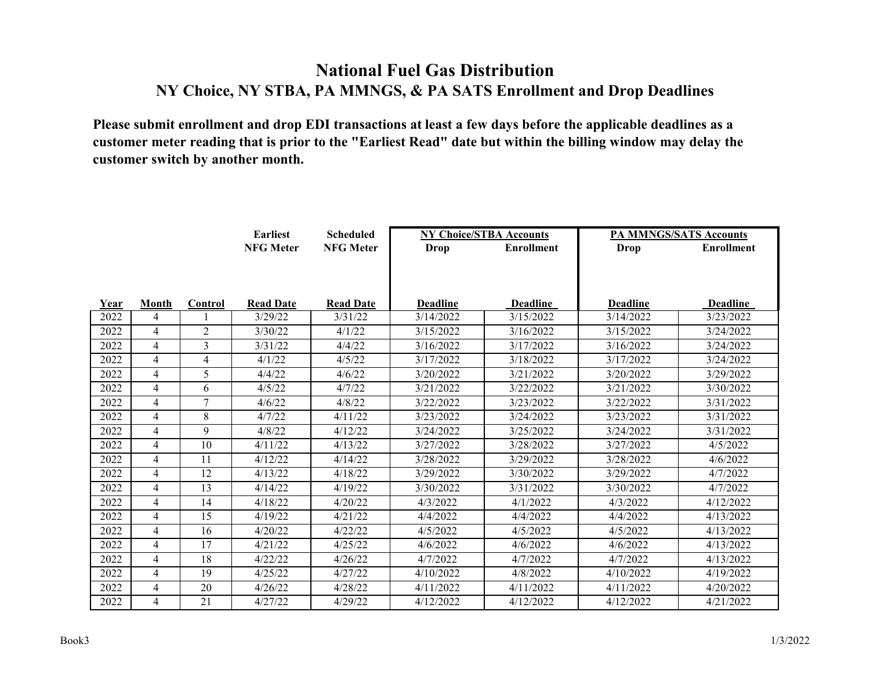|             |                |         | <b>Earliest</b>  | <b>Scheduled</b> | <b>NY Choice/STBA Accounts</b> |                   |                 | <b>PA MMNGS/SATS Accounts</b> |
|-------------|----------------|---------|------------------|------------------|--------------------------------|-------------------|-----------------|-------------------------------|
|             |                |         | <b>NFG Meter</b> | <b>NFG Meter</b> | Drop                           | <b>Enrollment</b> | <b>Drop</b>     | <b>Enrollment</b>             |
|             |                |         |                  |                  |                                |                   |                 |                               |
|             |                |         |                  |                  |                                |                   |                 |                               |
|             |                |         |                  |                  |                                |                   |                 |                               |
| <b>Year</b> | Month          | Control | <b>Read Date</b> | <b>Read Date</b> | <b>Deadline</b>                | <b>Deadline</b>   | <b>Deadline</b> | <b>Deadline</b>               |
| 2022        | $\overline{4}$ |         | 3/29/22          | 3/31/22          | 3/14/2022                      | 3/15/2022         | 3/14/2022       | 3/23/2022                     |
| 2022        | 4              | 2       | 3/30/22          | 4/1/22           | 3/15/2022                      | 3/16/2022         | 3/15/2022       | 3/24/2022                     |
| 2022        | $\overline{4}$ | 3       | 3/31/22          | 4/4/22           | 3/16/2022                      | 3/17/2022         | 3/16/2022       | 3/24/2022                     |
| 2022        | $\overline{4}$ | 4       | 4/1/22           | 4/5/22           | 3/17/2022                      | 3/18/2022         | 3/17/2022       | 3/24/2022                     |
| 2022        | $\overline{4}$ | 5       | 4/4/22           | 4/6/22           | 3/20/2022                      | 3/21/2022         | 3/20/2022       | 3/29/2022                     |
| 2022        | $\overline{4}$ | 6       | 4/5/22           | 4/7/22           | 3/21/2022                      | 3/22/2022         | 3/21/2022       | 3/30/2022                     |
| 2022        | $\overline{4}$ | 7       | 4/6/22           | 4/8/22           | 3/22/2022                      | 3/23/2022         | 3/22/2022       | 3/31/2022                     |
| 2022        | 4              | 8       | 4/7/22           | 4/11/22          | 3/23/2022                      | 3/24/2022         | 3/23/2022       | 3/31/2022                     |
| 2022        | 4              | 9       | 4/8/22           | 4/12/22          | 3/24/2022                      | 3/25/2022         | 3/24/2022       | 3/31/2022                     |
| 2022        | 4              | 10      | 4/11/22          | 4/13/22          | 3/27/2022                      | 3/28/2022         | 3/27/2022       | 4/5/2022                      |
| 2022        | 4              | 11      | 4/12/22          | 4/14/22          | 3/28/2022                      | 3/29/2022         | 3/28/2022       | 4/6/2022                      |
| 2022        | $\overline{4}$ | 12      | 4/13/22          | 4/18/22          | 3/29/2022                      | 3/30/2022         | 3/29/2022       | 4/7/2022                      |
| 2022        | $\overline{4}$ | 13      | 4/14/22          | 4/19/22          | 3/30/2022                      | 3/31/2022         | 3/30/2022       | 4/7/2022                      |
| 2022        | $\overline{4}$ | 14      | 4/18/22          | 4/20/22          | 4/3/2022                       | 4/1/2022          | 4/3/2022        | 4/12/2022                     |
| 2022        | 4              | 15      | 4/19/22          | 4/21/22          | 4/4/2022                       | 4/4/2022          | 4/4/2022        | 4/13/2022                     |
| 2022        | $\overline{4}$ | 16      | 4/20/22          | 4/22/22          | 4/5/2022                       | 4/5/2022          | 4/5/2022        | 4/13/2022                     |
| 2022        | $\overline{4}$ | 17      | 4/21/22          | 4/25/22          | 4/6/2022                       | 4/6/2022          | 4/6/2022        | 4/13/2022                     |
| 2022        | 4              | 18      | 4/22/22          | 4/26/22          | 4/7/2022                       | 4/7/2022          | 4/7/2022        | 4/13/2022                     |
| 2022        | 4              | 19      | 4/25/22          | 4/27/22          | 4/10/2022                      | 4/8/2022          | 4/10/2022       | 4/19/2022                     |
| 2022        | 4              | 20      | 4/26/22          | 4/28/22          | 4/11/2022                      | 4/11/2022         | 4/11/2022       | 4/20/2022                     |
| 2022        | $\overline{4}$ | 21      | 4/27/22          | 4/29/22          | 4/12/2022                      | 4/12/2022         | 4/12/2022       | 4/21/2022                     |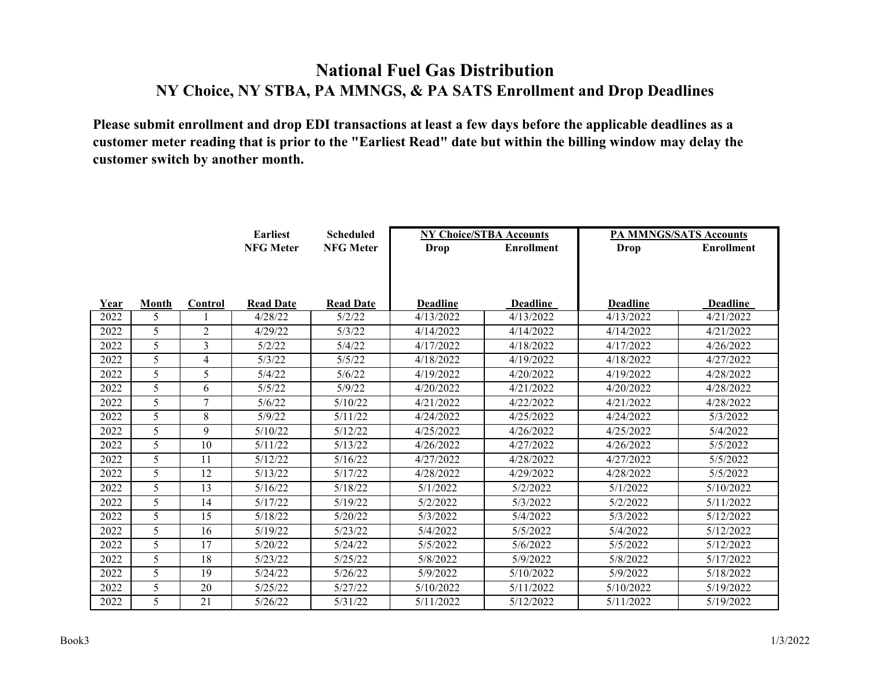|      |       |                | <b>Earliest</b>  | <b>Scheduled</b> | <b>NY Choice/STBA Accounts</b> |                   |                 | <b>PA MMNGS/SATS Accounts</b> |
|------|-------|----------------|------------------|------------------|--------------------------------|-------------------|-----------------|-------------------------------|
|      |       |                | <b>NFG Meter</b> | <b>NFG Meter</b> | <b>Drop</b>                    | <b>Enrollment</b> | <b>Drop</b>     | <b>Enrollment</b>             |
|      |       |                |                  |                  |                                |                   |                 |                               |
|      |       |                |                  |                  |                                |                   |                 |                               |
|      |       |                |                  |                  |                                |                   |                 |                               |
| Year | Month | <b>Control</b> | <b>Read Date</b> | <b>Read Date</b> | <b>Deadline</b>                | <b>Deadline</b>   | <b>Deadline</b> | Deadline                      |
| 2022 | 5     |                | 4/28/22          | 5/2/22           | 4/13/2022                      | 4/13/2022         | 4/13/2022       | 4/21/2022                     |
| 2022 | 5     | $\overline{2}$ | 4/29/22          | 5/3/22           | 4/14/2022                      | 4/14/2022         | 4/14/2022       | 4/21/2022                     |
| 2022 | 5     | 3              | 5/2/22           | 5/4/22           | 4/17/2022                      | 4/18/2022         | 4/17/2022       | 4/26/2022                     |
| 2022 | 5     | $\overline{4}$ | 5/3/22           | 5/5/22           | 4/18/2022                      | 4/19/2022         | 4/18/2022       | $\frac{1}{4}$ /27/2022        |
| 2022 | 5     | 5              | 5/4/22           | 5/6/22           | 4/19/2022                      | 4/20/2022         | 4/19/2022       | 4/28/2022                     |
| 2022 | 5     | 6              | 5/5/22           | 5/9/22           | 4/20/2022                      | 4/21/2022         | 4/20/2022       | 4/28/2022                     |
| 2022 | 5     | 7              | 5/6/22           | 5/10/22          | 4/21/2022                      | 4/22/2022         | 4/21/2022       | 4/28/2022                     |
| 2022 | 5     | 8              | 5/9/22           | 5/11/22          | 4/24/2022                      | 4/25/2022         | 4/24/2022       | 5/3/2022                      |
| 2022 | 5     | 9              | 5/10/22          | 5/12/22          | 4/25/2022                      | 4/26/2022         | 4/25/2022       | 5/4/2022                      |
| 2022 | 5     | 10             | 5/11/22          | 5/13/22          | 4/26/2022                      | 4/27/2022         | 4/26/2022       | 5/5/2022                      |
| 2022 | 5     | 11             | 5/12/22          | 5/16/22          | 4/27/2022                      | 4/28/2022         | 4/27/2022       | 5/5/2022                      |
| 2022 | 5     | 12             | 5/13/22          | 5/17/22          | 4/28/2022                      | 4/29/2022         | 4/28/2022       | 5/5/2022                      |
| 2022 | 5     | 13             | 5/16/22          | 5/18/22          | 5/1/2022                       | 5/2/2022          | 5/1/2022        | 5/10/2022                     |
| 2022 | 5     | 14             | 5/17/22          | 5/19/22          | 5/2/2022                       | 5/3/2022          | 5/2/2022        | 5/11/2022                     |
| 2022 | 5     | 15             | 5/18/22          | 5/20/22          | 5/3/2022                       | 5/4/2022          | 5/3/2022        | 5/12/2022                     |
| 2022 | 5     | 16             | 5/19/22          | 5/23/22          | 5/4/2022                       | 5/5/2022          | 5/4/2022        | 5/12/2022                     |
| 2022 | 5     | 17             | 5/20/22          | 5/24/22          | 5/5/2022                       | 5/6/2022          | 5/5/2022        | 5/12/2022                     |
| 2022 | 5     | 18             | 5/23/22          | 5/25/22          | 5/8/2022                       | 5/9/2022          | 5/8/2022        | 5/17/2022                     |
| 2022 | 5     | 19             | 5/24/22          | 5/26/22          | 5/9/2022                       | 5/10/2022         | 5/9/2022        | 5/18/2022                     |
| 2022 | 5     | 20             | 5/25/22          | 5/27/22          | 5/10/2022                      | 5/11/2022         | 5/10/2022       | 5/19/2022                     |
| 2022 | 5     | 21             | 5/26/22          | 5/31/22          | 5/11/2022                      | 5/12/2022         | 5/11/2022       | 5/19/2022                     |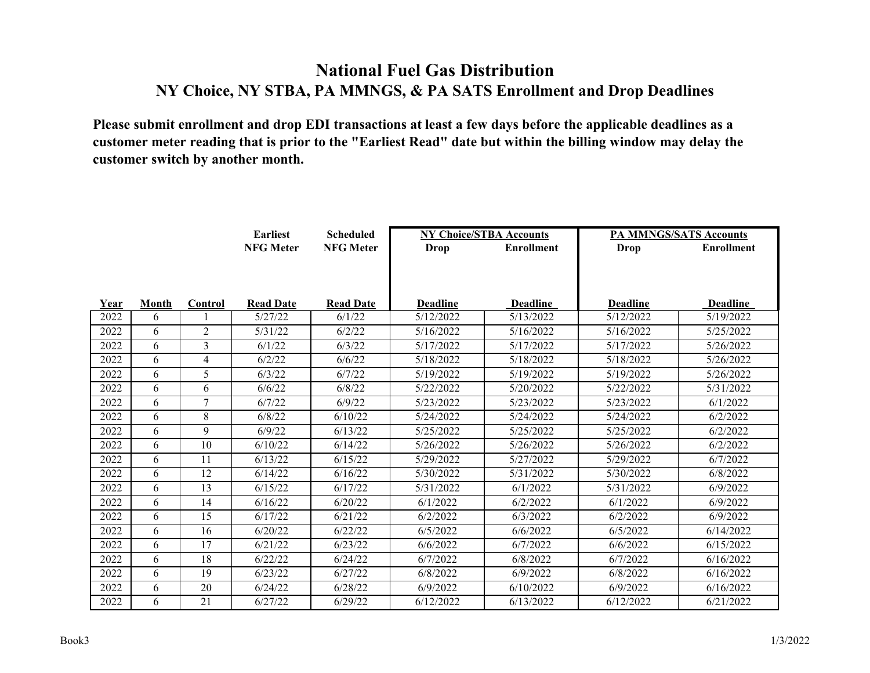|      |       |                | <b>Earliest</b>  | <b>Scheduled</b> | <b>NY Choice/STBA Accounts</b> |                   | <b>PA MMNGS/SATS Accounts</b> |                   |
|------|-------|----------------|------------------|------------------|--------------------------------|-------------------|-------------------------------|-------------------|
|      |       |                | <b>NFG Meter</b> | <b>NFG Meter</b> | <b>Drop</b>                    | <b>Enrollment</b> | <b>Drop</b>                   | <b>Enrollment</b> |
|      |       |                |                  |                  |                                |                   |                               |                   |
|      |       |                |                  |                  |                                |                   |                               |                   |
|      |       |                |                  |                  |                                |                   |                               |                   |
| Year | Month | Control        | <b>Read Date</b> | <b>Read Date</b> | <b>Deadline</b>                | <b>Deadline</b>   | <b>Deadline</b>               | <b>Deadline</b>   |
| 2022 | 6     |                | 5/27/22          | 6/1/22           | 5/12/2022                      | 5/13/2022         | 5/12/2022                     | 5/19/2022         |
| 2022 | 6     | 2              | 5/31/22          | 6/2/22           | 5/16/2022                      | 5/16/2022         | 5/16/2022                     | 5/25/2022         |
| 2022 | 6     | 3              | 6/1/22           | 6/3/22           | 5/17/2022                      | 5/17/2022         | 5/17/2022                     | 5/26/2022         |
| 2022 | 6     | $\overline{4}$ | 6/2/22           | 6/6/22           | 5/18/2022                      | 5/18/2022         | 5/18/2022                     | 5/26/2022         |
| 2022 | 6     | 5              | 6/3/22           | 6/7/22           | 5/19/2022                      | 5/19/2022         | 5/19/2022                     | 5/26/2022         |
| 2022 | 6     | 6              | 6/6/22           | 6/8/22           | 5/22/2022                      | 5/20/2022         | 5/22/2022                     | 5/31/2022         |
| 2022 | 6     | 7              | 6/7/22           | 6/9/22           | 5/23/2022                      | 5/23/2022         | 5/23/2022                     | 6/1/2022          |
| 2022 | 6     | 8              | 6/8/22           | 6/10/22          | 5/24/2022                      | 5/24/2022         | 5/24/2022                     | 6/2/2022          |
| 2022 | 6     | 9              | 6/9/22           | 6/13/22          | 5/25/2022                      | 5/25/2022         | 5/25/2022                     | 6/2/2022          |
| 2022 | 6     | 10             | 6/10/22          | 6/14/22          | 5/26/2022                      | 5/26/2022         | 5/26/2022                     | 6/2/2022          |
| 2022 | 6     | 11             | 6/13/22          | 6/15/22          | 5/29/2022                      | 5/27/2022         | 5/29/2022                     | 6/7/2022          |
| 2022 | 6     | 12             | 6/14/22          | 6/16/22          | 5/30/2022                      | 5/31/2022         | 5/30/2022                     | 6/8/2022          |
| 2022 | 6     | 13             | 6/15/22          | 6/17/22          | 5/31/2022                      | 6/1/2022          | 5/31/2022                     | 6/9/2022          |
| 2022 | 6     | 14             | 6/16/22          | 6/20/22          | 6/1/2022                       | 6/2/2022          | 6/1/2022                      | 6/9/2022          |
| 2022 | 6     | 15             | 6/17/22          | 6/21/22          | 6/2/2022                       | 6/3/2022          | 6/2/2022                      | 6/9/2022          |
| 2022 | 6     | 16             | 6/20/22          | 6/22/22          | 6/5/2022                       | 6/6/2022          | 6/5/2022                      | 6/14/2022         |
| 2022 | 6     | 17             | 6/21/22          | 6/23/22          | 6/6/2022                       | 6/7/2022          | 6/6/2022                      | 6/15/2022         |
| 2022 | 6     | 18             | 6/22/22          | 6/24/22          | 6/7/2022                       | 6/8/2022          | 6/7/2022                      | 6/16/2022         |
| 2022 | 6     | 19             | 6/23/22          | 6/27/22          | 6/8/2022                       | 6/9/2022          | 6/8/2022                      | 6/16/2022         |
| 2022 | 6     | 20             | 6/24/22          | 6/28/22          | 6/9/2022                       | 6/10/2022         | 6/9/2022                      | 6/16/2022         |
| 2022 | 6     | 21             | 6/27/22          | 6/29/22          | 6/12/2022                      | 6/13/2022         | 6/12/2022                     | 6/21/2022         |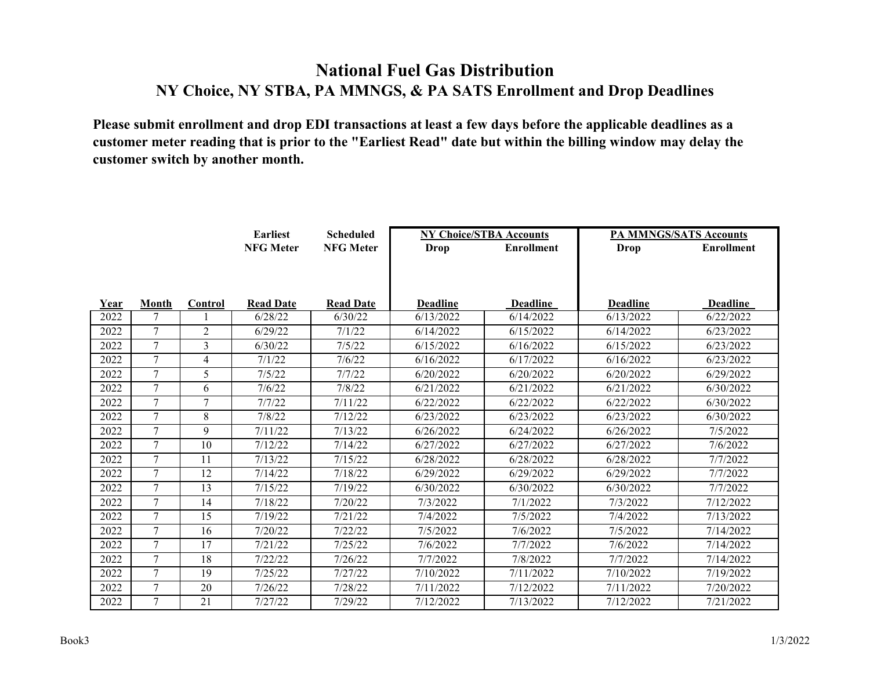|      |        |                | <b>Earliest</b>  | <b>Scheduled</b> | <b>NY Choice/STBA Accounts</b> |                   |                 | <b>PA MMNGS/SATS Accounts</b> |
|------|--------|----------------|------------------|------------------|--------------------------------|-------------------|-----------------|-------------------------------|
|      |        |                | <b>NFG Meter</b> | <b>NFG Meter</b> | Drop                           | <b>Enrollment</b> | Drop            | <b>Enrollment</b>             |
|      |        |                |                  |                  |                                |                   |                 |                               |
|      |        |                |                  |                  |                                |                   |                 |                               |
|      |        |                |                  |                  |                                |                   |                 |                               |
| Year | Month  | Control        | <b>Read Date</b> | <b>Read Date</b> | <b>Deadline</b>                | <b>Deadline</b>   | <b>Deadline</b> | <b>Deadline</b>               |
| 2022 | 7      |                | 6/28/22          | 6/30/22          | 6/13/2022                      | 6/14/2022         | 6/13/2022       | 6/22/2022                     |
| 2022 | 7      | $\overline{2}$ | 6/29/22          | 7/1/22           | 6/14/2022                      | 6/15/2022         | 6/14/2022       | 6/23/2022                     |
| 2022 | 7      | 3              | 6/30/22          | 7/5/22           | 6/15/2022                      | 6/16/2022         | 6/15/2022       | 6/23/2022                     |
| 2022 | 7      | $\overline{4}$ | 7/1/22           | 7/6/22           | 6/16/2022                      | 6/17/2022         | 6/16/2022       | 6/23/2022                     |
| 2022 | 7      | 5              | 7/5/22           | 7/7/22           | 6/20/2022                      | 6/20/2022         | 6/20/2022       | 6/29/2022                     |
| 2022 | 7      | 6              | 7/6/22           | 7/8/22           | 6/21/2022                      | 6/21/2022         | 6/21/2022       | 6/30/2022                     |
| 2022 | 7      | 7              | 7/7/22           | 7/11/22          | 6/22/2022                      | 6/22/2022         | 6/22/2022       | 6/30/2022                     |
| 2022 | $\tau$ | 8              | 7/8/22           | 7/12/22          | 6/23/2022                      | 6/23/2022         | 6/23/2022       | 6/30/2022                     |
| 2022 | 7      | 9              | 7/11/22          | 7/13/22          | 6/26/2022                      | 6/24/2022         | 6/26/2022       | 7/5/2022                      |
| 2022 | 7      | 10             | 7/12/22          | 7/14/22          | 6/27/2022                      | 6/27/2022         | 6/27/2022       | 7/6/2022                      |
| 2022 | 7      | 11             | 7/13/22          | 7/15/22          | 6/28/2022                      | 6/28/2022         | 6/28/2022       | 7/7/2022                      |
| 2022 | 7      | 12             | 7/14/22          | 7/18/22          | 6/29/2022                      | 6/29/2022         | 6/29/2022       | 7/7/2022                      |
| 2022 | 7      | 13             | 7/15/22          | 7/19/22          | 6/30/2022                      | 6/30/2022         | 6/30/2022       | 7/7/2022                      |
| 2022 | 7      | 14             | 7/18/22          | 7/20/22          | 7/3/2022                       | 7/1/2022          | 7/3/2022        | 7/12/2022                     |
| 2022 | 7      | 15             | 7/19/22          | 7/21/22          | 7/4/2022                       | 7/5/2022          | 7/4/2022        | 7/13/2022                     |
| 2022 | 7      | 16             | 7/20/22          | 7/22/22          | 7/5/2022                       | 7/6/2022          | 7/5/2022        | 7/14/2022                     |
| 2022 | $\tau$ | 17             | 7/21/22          | 7/25/22          | 7/6/2022                       | 7/7/2022          | 7/6/2022        | 7/14/2022                     |
| 2022 | $\tau$ | 18             | 7/22/22          | 7/26/22          | 7/7/2022                       | 7/8/2022          | 7/7/2022        | 7/14/2022                     |
| 2022 | 7      | 19             | 7/25/22          | 7/27/22          | 7/10/2022                      | 7/11/2022         | 7/10/2022       | 7/19/2022                     |
| 2022 | 7      | 20             | 7/26/22          | 7/28/22          | 7/11/2022                      | 7/12/2022         | 7/11/2022       | 7/20/2022                     |
| 2022 | 7      | 21             | 7/27/22          | 7/29/22          | 7/12/2022                      | 7/13/2022         | 7/12/2022       | 7/21/2022                     |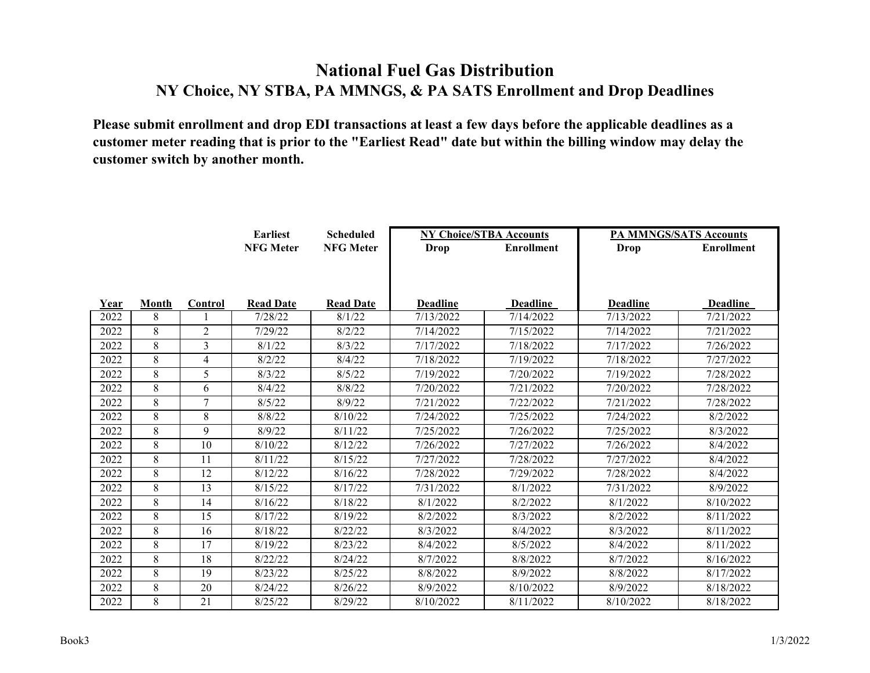|      |       |                | <b>Earliest</b>  | <b>Scheduled</b> | <b>NY Choice/STBA Accounts</b> |                   |                 | <b>PA MMNGS/SATS Accounts</b> |
|------|-------|----------------|------------------|------------------|--------------------------------|-------------------|-----------------|-------------------------------|
|      |       |                | <b>NFG Meter</b> | <b>NFG Meter</b> | <b>Drop</b>                    | <b>Enrollment</b> | <b>Drop</b>     | <b>Enrollment</b>             |
|      |       |                |                  |                  |                                |                   |                 |                               |
|      |       |                |                  |                  |                                |                   |                 |                               |
|      |       |                |                  |                  |                                |                   |                 |                               |
| Year | Month | Control        | <b>Read Date</b> | <b>Read Date</b> | <b>Deadline</b>                | <b>Deadline</b>   | <b>Deadline</b> | Deadline                      |
| 2022 | 8     |                | 7/28/22          | 8/1/22           | 7/13/2022                      | 7/14/2022         | 7/13/2022       | 7/21/2022                     |
| 2022 | 8     | $\overline{2}$ | 7/29/22          | 8/2/22           | 7/14/2022                      | 7/15/2022         | 7/14/2022       | 7/21/2022                     |
| 2022 | 8     | 3              | 8/1/22           | 8/3/22           | 7/17/2022                      | 7/18/2022         | 7/17/2022       | 7/26/2022                     |
| 2022 | 8     | $\overline{4}$ | 8/2/22           | 8/4/22           | 7/18/2022                      | 7/19/2022         | 7/18/2022       | 7/27/2022                     |
| 2022 | 8     | 5              | 8/3/22           | 8/5/22           | 7/19/2022                      | 7/20/2022         | 7/19/2022       | 7/28/2022                     |
| 2022 | 8     | 6              | 8/4/22           | 8/8/22           | 7/20/2022                      | 7/21/2022         | 7/20/2022       | 7/28/2022                     |
| 2022 | 8     | 7              | 8/5/22           | 8/9/22           | 7/21/2022                      | 7/22/2022         | 7/21/2022       | 7/28/2022                     |
| 2022 | 8     | 8              | 8/8/22           | 8/10/22          | 7/24/2022                      | 7/25/2022         | 7/24/2022       | 8/2/2022                      |
| 2022 | 8     | 9              | 8/9/22           | 8/11/22          | 7/25/2022                      | 7/26/2022         | 7/25/2022       | 8/3/2022                      |
| 2022 | 8     | 10             | 8/10/22          | 8/12/22          | 7/26/2022                      | 7/27/2022         | 7/26/2022       | 8/4/2022                      |
| 2022 | 8     | 11             | 8/11/22          | 8/15/22          | 7/27/2022                      | 7/28/2022         | 7/27/2022       | 8/4/2022                      |
| 2022 | 8     | 12             | 8/12/22          | 8/16/22          | 7/28/2022                      | 7/29/2022         | 7/28/2022       | 8/4/2022                      |
| 2022 | 8     | 13             | 8/15/22          | 8/17/22          | 7/31/2022                      | 8/1/2022          | 7/31/2022       | 8/9/2022                      |
| 2022 | 8     | 14             | 8/16/22          | 8/18/22          | 8/1/2022                       | 8/2/2022          | 8/1/2022        | 8/10/2022                     |
| 2022 | 8     | 15             | 8/17/22          | 8/19/22          | 8/2/2022                       | 8/3/2022          | 8/2/2022        | 8/11/2022                     |
| 2022 | 8     | 16             | 8/18/22          | 8/22/22          | 8/3/2022                       | 8/4/2022          | 8/3/2022        | 8/11/2022                     |
| 2022 | 8     | 17             | 8/19/22          | 8/23/22          | 8/4/2022                       | 8/5/2022          | 8/4/2022        | 8/11/2022                     |
| 2022 | 8     | 18             | 8/22/22          | 8/24/22          | 8/7/2022                       | 8/8/2022          | 8/7/2022        | 8/16/2022                     |
| 2022 | 8     | 19             | 8/23/22          | 8/25/22          | 8/8/2022                       | 8/9/2022          | 8/8/2022        | 8/17/2022                     |
| 2022 | 8     | 20             | 8/24/22          | 8/26/22          | 8/9/2022                       | 8/10/2022         | 8/9/2022        | 8/18/2022                     |
| 2022 | 8     | 21             | 8/25/22          | 8/29/22          | 8/10/2022                      | 8/11/2022         | 8/10/2022       | 8/18/2022                     |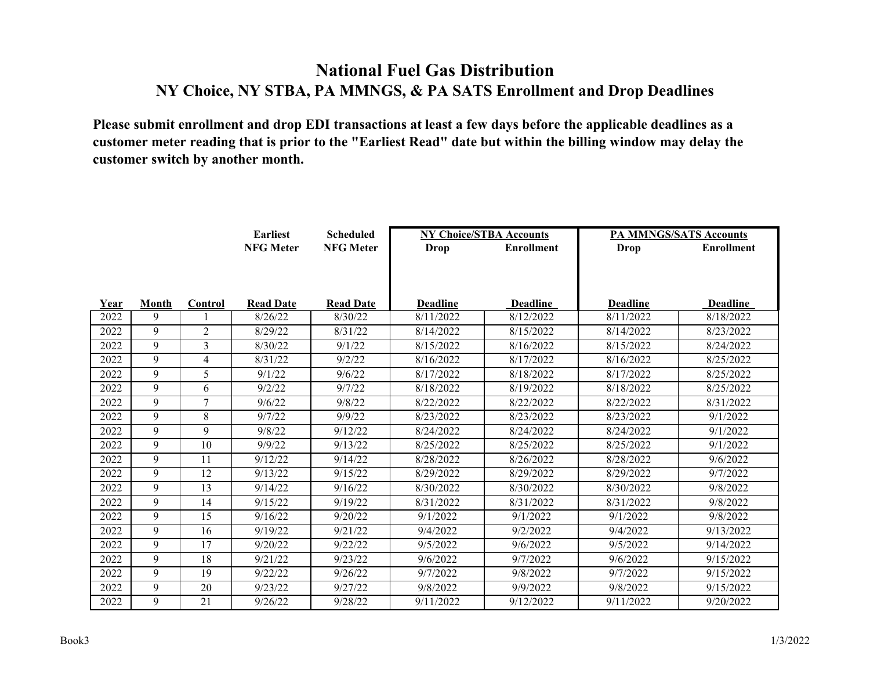|      |       |                | <b>Earliest</b>  | <b>Scheduled</b> | <b>NY Choice/STBA Accounts</b> |                   |                 | <b>PA MMNGS/SATS Accounts</b> |
|------|-------|----------------|------------------|------------------|--------------------------------|-------------------|-----------------|-------------------------------|
|      |       |                | <b>NFG Meter</b> | <b>NFG Meter</b> | <b>Drop</b>                    | <b>Enrollment</b> | <b>Drop</b>     | <b>Enrollment</b>             |
|      |       |                |                  |                  |                                |                   |                 |                               |
|      |       |                |                  |                  |                                |                   |                 |                               |
|      |       |                |                  |                  |                                |                   |                 |                               |
| Year | Month | Control        | <b>Read Date</b> | <b>Read Date</b> | <b>Deadline</b>                | <b>Deadline</b>   | <b>Deadline</b> | Deadline                      |
| 2022 | 9     |                | 8/26/22          | 8/30/22          | 8/11/2022                      | 8/12/2022         | 8/11/2022       | 8/18/2022                     |
| 2022 | 9     | $\overline{2}$ | 8/29/22          | 8/31/22          | 8/14/2022                      | 8/15/2022         | 8/14/2022       | 8/23/2022                     |
| 2022 | 9     | 3              | 8/30/22          | 9/1/22           | 8/15/2022                      | 8/16/2022         | 8/15/2022       | 8/24/2022                     |
| 2022 | 9     | $\overline{4}$ | 8/31/22          | 9/2/22           | 8/16/2022                      | 8/17/2022         | 8/16/2022       | 8/25/2022                     |
| 2022 | 9     | 5              | 9/1/22           | 9/6/22           | 8/17/2022                      | 8/18/2022         | 8/17/2022       | 8/25/2022                     |
| 2022 | 9     | 6              | 9/2/22           | 9/7/22           | 8/18/2022                      | 8/19/2022         | 8/18/2022       | 8/25/2022                     |
| 2022 | 9     | 7              | 9/6/22           | 9/8/22           | 8/22/2022                      | 8/22/2022         | 8/22/2022       | 8/31/2022                     |
| 2022 | 9     | 8              | 9/7/22           | 9/9/22           | 8/23/2022                      | 8/23/2022         | 8/23/2022       | 9/1/2022                      |
| 2022 | 9     | 9              | 9/8/22           | 9/12/22          | 8/24/2022                      | 8/24/2022         | 8/24/2022       | 9/1/2022                      |
| 2022 | 9     | 10             | 9/9/22           | 9/13/22          | 8/25/2022                      | 8/25/2022         | 8/25/2022       | 9/1/2022                      |
| 2022 | 9     | 11             | 9/12/22          | 9/14/22          | 8/28/2022                      | 8/26/2022         | 8/28/2022       | 9/6/2022                      |
| 2022 | 9     | 12             | 9/13/22          | 9/15/22          | 8/29/2022                      | 8/29/2022         | 8/29/2022       | 9/7/2022                      |
| 2022 | 9     | 13             | 9/14/22          | 9/16/22          | 8/30/2022                      | 8/30/2022         | 8/30/2022       | 9/8/2022                      |
| 2022 | 9     | 14             | 9/15/22          | 9/19/22          | 8/31/2022                      | 8/31/2022         | 8/31/2022       | 9/8/2022                      |
| 2022 | 9     | 15             | 9/16/22          | 9/20/22          | 9/1/2022                       | 9/1/2022          | 9/1/2022        | 9/8/2022                      |
| 2022 | 9     | 16             | 9/19/22          | 9/21/22          | 9/4/2022                       | 9/2/2022          | 9/4/2022        | 9/13/2022                     |
| 2022 | 9     | 17             | 9/20/22          | 9/22/22          | 9/5/2022                       | 9/6/2022          | 9/5/2022        | 9/14/2022                     |
| 2022 | 9     | 18             | 9/21/22          | 9/23/22          | 9/6/2022                       | 9/7/2022          | 9/6/2022        | 9/15/2022                     |
| 2022 | 9     | 19             | 9/22/22          | 9/26/22          | 9/7/2022                       | 9/8/2022          | 9/7/2022        | 9/15/2022                     |
| 2022 | 9     | 20             | 9/23/22          | 9/27/22          | 9/8/2022                       | 9/9/2022          | 9/8/2022        | 9/15/2022                     |
| 2022 | 9     | 21             | 9/26/22          | 9/28/22          | 9/11/2022                      | 9/12/2022         | 9/11/2022       | 9/20/2022                     |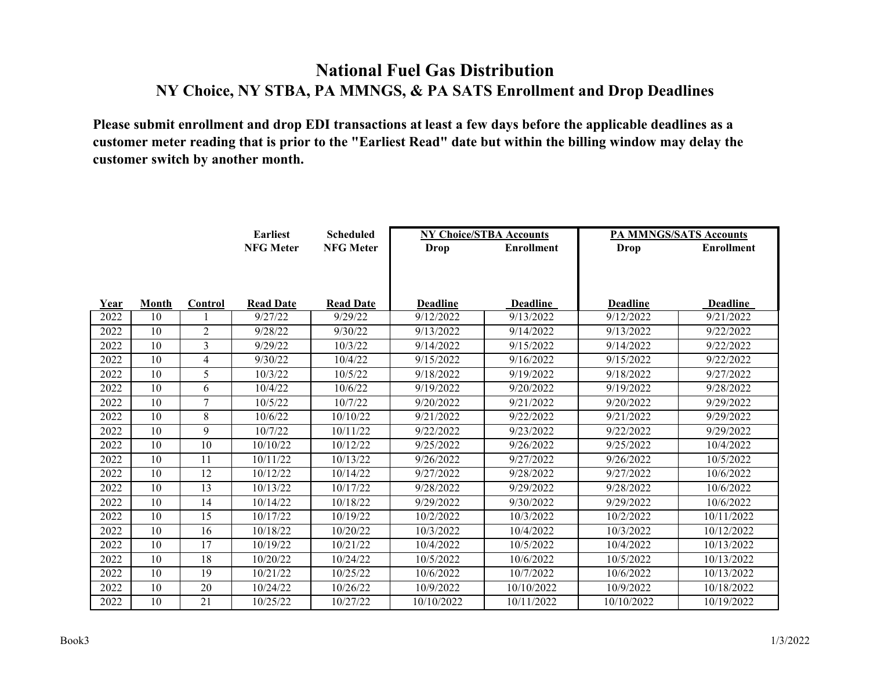|      |                 |         | <b>Earliest</b><br><b>Scheduled</b><br><b>NY Choice/STBA Accounts</b> |                  |                 |                   | <b>PA MMNGS/SATS Accounts</b> |                   |
|------|-----------------|---------|-----------------------------------------------------------------------|------------------|-----------------|-------------------|-------------------------------|-------------------|
|      |                 |         | <b>NFG Meter</b>                                                      | <b>NFG Meter</b> | Drop            | <b>Enrollment</b> | <b>Drop</b>                   | <b>Enrollment</b> |
|      |                 |         |                                                                       |                  |                 |                   |                               |                   |
|      |                 |         |                                                                       |                  |                 |                   |                               |                   |
|      |                 |         |                                                                       |                  |                 |                   |                               |                   |
| Year | <b>Month</b>    | Control | <b>Read Date</b>                                                      | <b>Read Date</b> | <b>Deadline</b> | <b>Deadline</b>   | Deadline                      | Deadline          |
| 2022 | 10              |         | 9/27/22                                                               | 9/29/22          | 9/12/2022       | 9/13/2022         | 9/12/2022                     | 9/21/2022         |
| 2022 | 10              | 2       | 9/28/22                                                               | 9/30/22          | 9/13/2022       | 9/14/2022         | 9/13/2022                     | 9/22/2022         |
| 2022 | 10              | 3       | 9/29/22                                                               | 10/3/22          | 9/14/2022       | 9/15/2022         | 9/14/2022                     | 9/22/2022         |
| 2022 | $\overline{10}$ | 4       | 9/30/22                                                               | 10/4/22          | 9/15/2022       | 9/16/2022         | 9/15/2022                     | 9/22/2022         |
| 2022 | 10              | 5       | 10/3/22                                                               | 10/5/22          | 9/18/2022       | 9/19/2022         | 9/18/2022                     | 9/27/2022         |
| 2022 | 10              | 6       | 10/4/22                                                               | 10/6/22          | 9/19/2022       | 9/20/2022         | 9/19/2022                     | 9/28/2022         |
| 2022 | 10              | 7       | 10/5/22                                                               | 10/7/22          | 9/20/2022       | 9/21/2022         | 9/20/2022                     | 9/29/2022         |
| 2022 | 10              | 8       | 10/6/22                                                               | 10/10/22         | 9/21/2022       | 9/22/2022         | 9/21/2022                     | 9/29/2022         |
| 2022 | 10              | 9       | 10/7/22                                                               | 10/11/22         | 9/22/2022       | 9/23/2022         | $\frac{1}{9}$ /22/2022        | 9/29/2022         |
| 2022 | 10              | 10      | 10/10/22                                                              | 10/12/22         | 9/25/2022       | 9/26/2022         | 9/25/2022                     | 10/4/2022         |
| 2022 | 10              | 11      | 10/11/22                                                              | 10/13/22         | 9/26/2022       | 9/27/2022         | 9/26/2022                     | 10/5/2022         |
| 2022 | 10              | 12      | 10/12/22                                                              | 10/14/22         | 9/27/2022       | 9/28/2022         | 9/27/2022                     | 10/6/2022         |
| 2022 | 10              | 13      | 10/13/22                                                              | 10/17/22         | 9/28/2022       | 9/29/2022         | 9/28/2022                     | 10/6/2022         |
| 2022 | 10              | 14      | 10/14/22                                                              | 10/18/22         | 9/29/2022       | 9/30/2022         | 9/29/2022                     | 10/6/2022         |
| 2022 | 10              | 15      | 10/17/22                                                              | 10/19/22         | 10/2/2022       | 10/3/2022         | 10/2/2022                     | 10/11/2022        |
| 2022 | 10              | 16      | 10/18/22                                                              | 10/20/22         | 10/3/2022       | 10/4/2022         | 10/3/2022                     | 10/12/2022        |
| 2022 | 10              | 17      | 10/19/22                                                              | 10/21/22         | 10/4/2022       | 10/5/2022         | 10/4/2022                     | 10/13/2022        |
| 2022 | 10              | 18      | 10/20/22                                                              | 10/24/22         | 10/5/2022       | 10/6/2022         | 10/5/2022                     | 10/13/2022        |
| 2022 | 10              | 19      | 10/21/22                                                              | 10/25/22         | 10/6/2022       | 10/7/2022         | 10/6/2022                     | 10/13/2022        |
| 2022 | 10              | 20      | 10/24/22                                                              | 10/26/22         | 10/9/2022       | 10/10/2022        | 10/9/2022                     | 10/18/2022        |
| 2022 | 10              | 21      | 10/25/22                                                              | 10/27/22         | 10/10/2022      | 10/11/2022        | 10/10/2022                    | 10/19/2022        |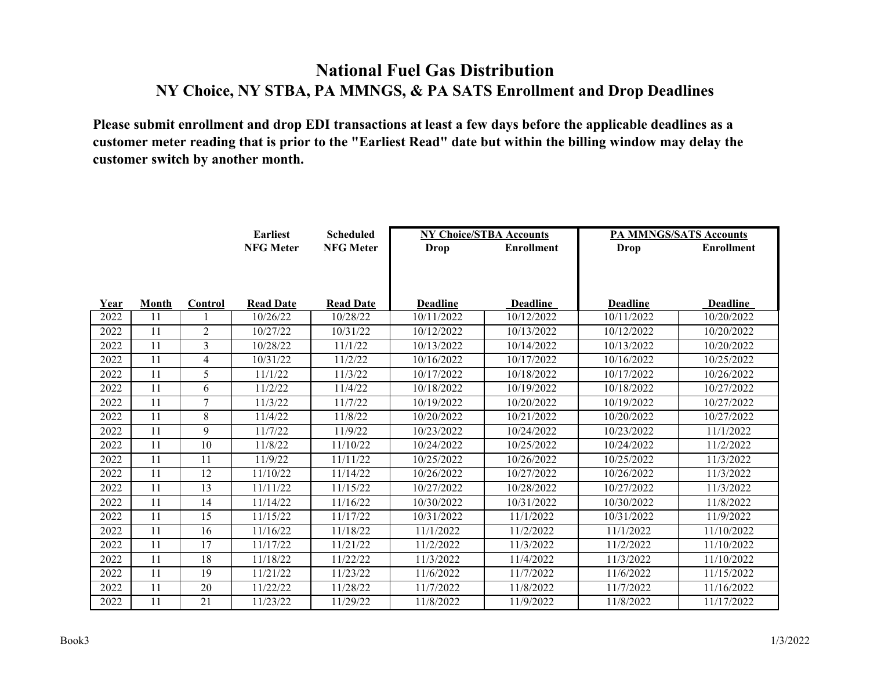|      |              |         | <b>Earliest</b>  | <b>Scheduled</b> | <b>NY Choice/STBA Accounts</b> |                   |                 | <b>PA MMNGS/SATS Accounts</b> |  |
|------|--------------|---------|------------------|------------------|--------------------------------|-------------------|-----------------|-------------------------------|--|
|      |              |         | <b>NFG Meter</b> | <b>NFG Meter</b> | <b>Drop</b>                    | <b>Enrollment</b> | Drop            | <b>Enrollment</b>             |  |
|      |              |         |                  |                  |                                |                   |                 |                               |  |
|      |              |         |                  |                  |                                |                   |                 |                               |  |
|      |              |         |                  |                  |                                |                   |                 |                               |  |
| Year | <b>Month</b> | Control | <b>Read Date</b> | <b>Read Date</b> | <b>Deadline</b>                | <b>Deadline</b>   | <b>Deadline</b> | <b>Deadline</b>               |  |
| 2022 | 11           |         | 10/26/22         | 10/28/22         | 10/11/2022                     | 10/12/2022        | 10/11/2022      | 10/20/2022                    |  |
| 2022 | 11           | 2       | 10/27/22         | 10/31/22         | 10/12/2022                     | 10/13/2022        | 10/12/2022      | 10/20/2022                    |  |
| 2022 | 11           | 3       | 10/28/22         | 11/1/22          | 10/13/2022                     | 10/14/2022        | 10/13/2022      | 10/20/2022                    |  |
| 2022 | 11           | 4       | 10/31/22         | 11/2/22          | 10/16/2022                     | 10/17/2022        | 10/16/2022      | 10/25/2022                    |  |
| 2022 | 11           | 5       | 11/1/22          | 11/3/22          | 10/17/2022                     | 10/18/2022        | 10/17/2022      | 10/26/2022                    |  |
| 2022 | 11           | 6       | 11/2/22          | 11/4/22          | 10/18/2022                     | 10/19/2022        | 10/18/2022      | 10/27/2022                    |  |
| 2022 | 11           | 7       | 11/3/22          | 11/7/22          | 10/19/2022                     | 10/20/2022        | 10/19/2022      | 10/27/2022                    |  |
| 2022 | 11           | 8       | 11/4/22          | 11/8/22          | 10/20/2022                     | 10/21/2022        | 10/20/2022      | 10/27/2022                    |  |
| 2022 | 11           | 9       | 11/7/22          | 11/9/22          | 10/23/2022                     | 10/24/2022        | 10/23/2022      | 11/1/2022                     |  |
| 2022 | 11           | 10      | 11/8/22          | 11/10/22         | 10/24/2022                     | 10/25/2022        | 10/24/2022      | 11/2/2022                     |  |
| 2022 | 11           | 11      | 11/9/22          | 11/11/22         | 10/25/2022                     | 10/26/2022        | 10/25/2022      | 11/3/2022                     |  |
| 2022 | 11           | 12      | 11/10/22         | 11/14/22         | 10/26/2022                     | 10/27/2022        | 10/26/2022      | 11/3/2022                     |  |
| 2022 | 11           | 13      | 11/11/22         | 11/15/22         | 10/27/2022                     | 10/28/2022        | 10/27/2022      | 11/3/2022                     |  |
| 2022 | 11           | 14      | 11/14/22         | 11/16/22         | 10/30/2022                     | 10/31/2022        | 10/30/2022      | 11/8/2022                     |  |
| 2022 | 11           | 15      | 11/15/22         | 11/17/22         | $\frac{10}{31/2022}$           | 11/1/2022         | 10/31/2022      | 11/9/2022                     |  |
| 2022 | 11           | 16      | 11/16/22         | 11/18/22         | 11/1/2022                      | 11/2/2022         | 11/1/2022       | 11/10/2022                    |  |
| 2022 | 11           | 17      | 11/17/22         | 11/21/22         | 11/2/2022                      | 11/3/2022         | 11/2/2022       | 11/10/2022                    |  |
| 2022 | 11           | 18      | 11/18/22         | 11/22/22         | 11/3/2022                      | 11/4/2022         | 11/3/2022       | 11/10/2022                    |  |
| 2022 | 11           | 19      | 11/21/22         | 11/23/22         | 11/6/2022                      | 11/7/2022         | 11/6/2022       | 11/15/2022                    |  |
| 2022 | 11           | 20      | 11/22/22         | 11/28/22         | 11/7/2022                      | 11/8/2022         | 11/7/2022       | 11/16/2022                    |  |
| 2022 | 11           | 21      | 11/23/22         | 11/29/22         | 11/8/2022                      | 11/9/2022         | 11/8/2022       | 11/17/2022                    |  |